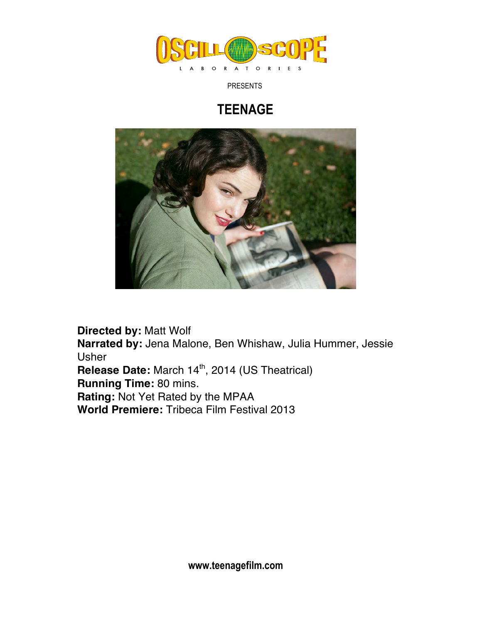

PRESENTS

## **TEENAGE**



**Directed by:** Matt Wolf **Narrated by:** Jena Malone, Ben Whishaw, Julia Hummer, Jessie Usher **Release Date:** March 14<sup>th</sup>, 2014 (US Theatrical) **Running Time:** 80 mins. **Rating:** Not Yet Rated by the MPAA **World Premiere:** Tribeca Film Festival 2013

**www.teenagefilm.com**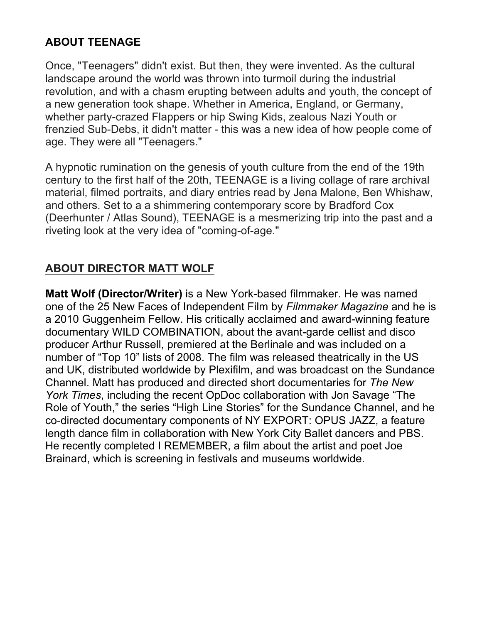## **ABOUT TEENAGE**

Once, "Teenagers" didn't exist. But then, they were invented. As the cultural landscape around the world was thrown into turmoil during the industrial revolution, and with a chasm erupting between adults and youth, the concept of a new generation took shape. Whether in America, England, or Germany, whether party-crazed Flappers or hip Swing Kids, zealous Nazi Youth or frenzied Sub-Debs, it didn't matter - this was a new idea of how people come of age. They were all "Teenagers."

A hypnotic rumination on the genesis of youth culture from the end of the 19th century to the first half of the 20th, TEENAGE is a living collage of rare archival material, filmed portraits, and diary entries read by Jena Malone, Ben Whishaw, and others. Set to a a shimmering contemporary score by Bradford Cox (Deerhunter / Atlas Sound), TEENAGE is a mesmerizing trip into the past and a riveting look at the very idea of "coming-of-age."

## **ABOUT DIRECTOR MATT WOLF**

**Matt Wolf (Director/Writer)** is a New York-based filmmaker. He was named one of the 25 New Faces of Independent Film by *Filmmaker Magazine* and he is a 2010 Guggenheim Fellow. His critically acclaimed and award-winning feature documentary WILD COMBINATION, about the avant-garde cellist and disco producer Arthur Russell, premiered at the Berlinale and was included on a number of "Top 10" lists of 2008. The film was released theatrically in the US and UK, distributed worldwide by Plexifilm, and was broadcast on the Sundance Channel. Matt has produced and directed short documentaries for *The New York Times*, including the recent OpDoc collaboration with Jon Savage "The Role of Youth," the series "High Line Stories" for the Sundance Channel, and he co-directed documentary components of NY EXPORT: OPUS JAZZ, a feature length dance film in collaboration with New York City Ballet dancers and PBS. He recently completed I REMEMBER, a film about the artist and poet Joe Brainard, which is screening in festivals and museums worldwide.